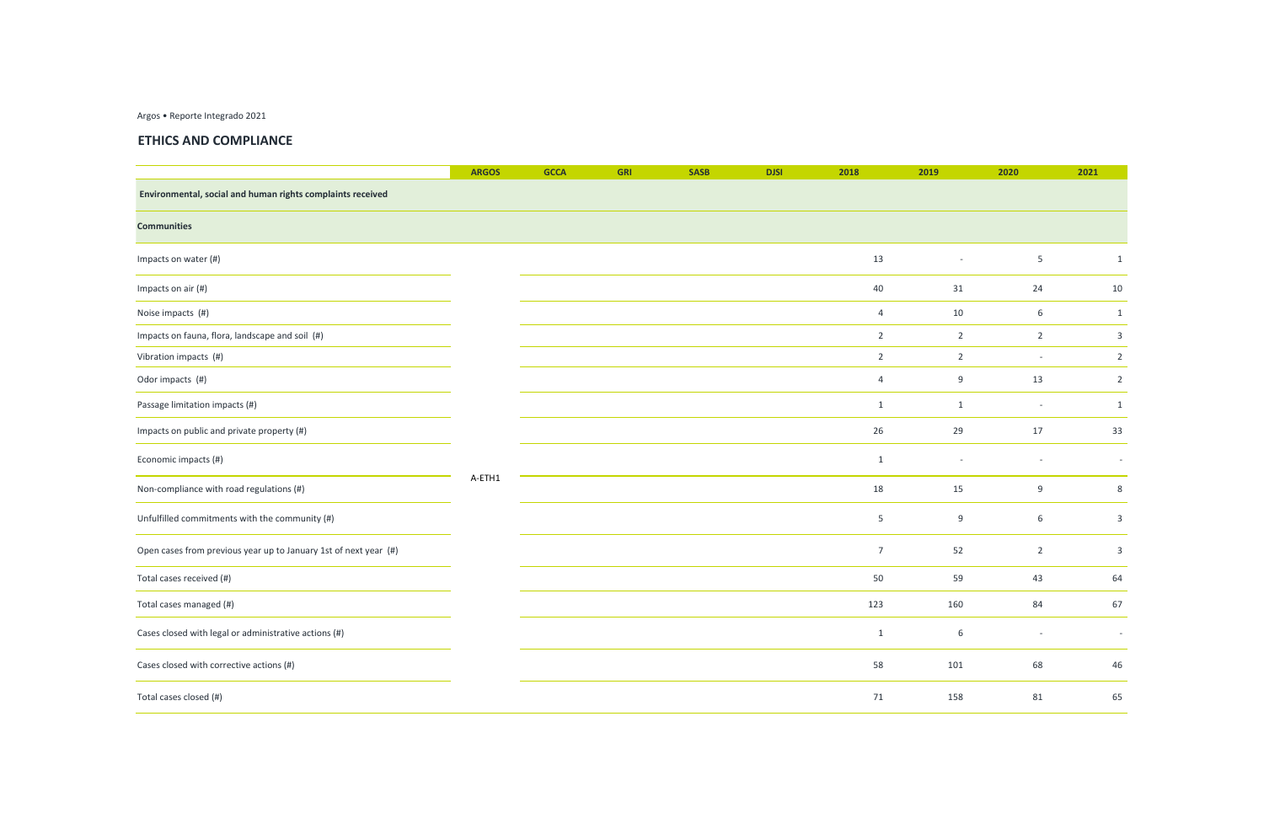Argos • Reporte Integrado 2021

## **ETHICS AND COMPLIANCE**

|                                                                  | <b>ARGOS</b> | <b>GCCA</b> | <b>GRI</b> | <b>SASB</b> | <b>DJSI</b> | 2018           | 2019                     | 2020                     | 2021                     |
|------------------------------------------------------------------|--------------|-------------|------------|-------------|-------------|----------------|--------------------------|--------------------------|--------------------------|
| Environmental, social and human rights complaints received       |              |             |            |             |             |                |                          |                          |                          |
| <b>Communities</b>                                               |              |             |            |             |             |                |                          |                          |                          |
| Impacts on water (#)                                             |              |             |            |             |             | 13             | $\overline{\phantom{a}}$ | $5\phantom{.0}$          | $\mathbf{1}$             |
| Impacts on air (#)                                               |              |             |            |             |             | 40             | 31                       | 24                       | 10                       |
| Noise impacts (#)                                                |              |             |            |             |             | $\overline{4}$ | 10                       | 6                        | $\mathbf{1}$             |
| Impacts on fauna, flora, landscape and soil (#)                  |              |             |            |             |             | $\overline{2}$ | $\overline{2}$           | $\overline{2}$           | $\overline{3}$           |
| Vibration impacts (#)                                            |              |             |            |             |             | $\overline{2}$ | $\overline{2}$           | $-$                      | $\overline{2}$           |
| Odor impacts (#)                                                 |              |             |            |             |             | $\overline{4}$ | 9                        | 13                       | $\overline{2}$           |
| Passage limitation impacts (#)                                   |              |             |            |             |             | $\mathbf{1}$   | $\mathbf{1}$             | $\overline{\phantom{a}}$ | $\mathbf{1}$             |
| Impacts on public and private property (#)                       |              |             |            |             |             | 26             | 29                       | 17                       | 33                       |
| Economic impacts (#)                                             |              |             |            |             |             | $1\,$          |                          |                          | $\overline{\phantom{a}}$ |
| Non-compliance with road regulations (#)                         | A-ETH1       |             |            |             |             | 18             | 15                       | 9                        | 8                        |
| Unfulfilled commitments with the community (#)                   |              |             |            |             |             | $\overline{5}$ | 9                        | 6                        | $\overline{3}$           |
| Open cases from previous year up to January 1st of next year (#) |              |             |            |             |             | $\overline{7}$ | 52                       | $\overline{2}$           | $\overline{3}$           |
| Total cases received (#)                                         |              |             |            |             |             | 50             | 59                       | 43                       | 64                       |
| Total cases managed (#)                                          |              |             |            |             |             | 123            | 160                      | 84                       | 67                       |
| Cases closed with legal or administrative actions (#)            |              |             |            |             |             | $\,1\,$        | $\sqrt{6}$               | $\overline{\phantom{a}}$ | $\sim$                   |
| Cases closed with corrective actions (#)                         |              |             |            |             |             | 58             | 101                      | 68                       | 46                       |
| Total cases closed (#)                                           |              |             |            |             |             | 71             | 158                      | 81                       | 65                       |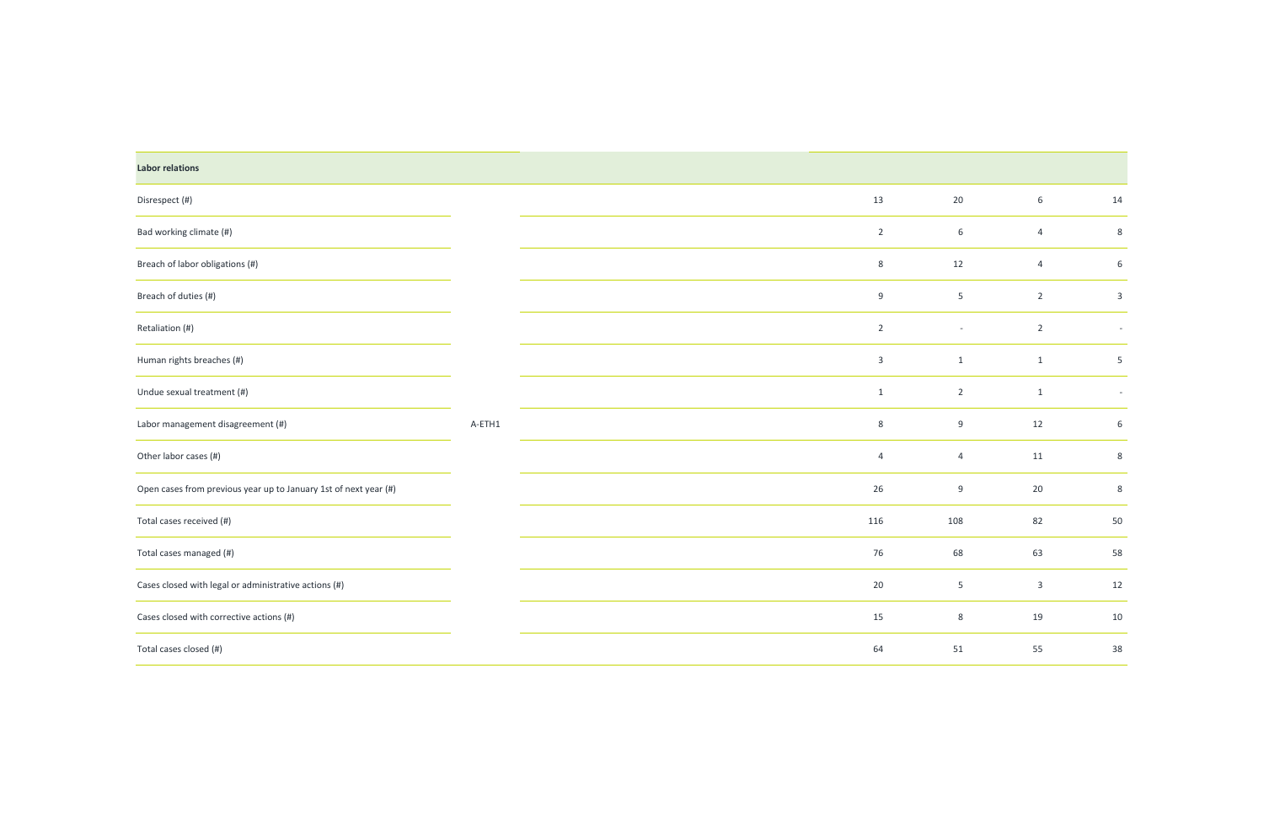| <b>Labor relations</b>                                           |        |                |                          |                |                |
|------------------------------------------------------------------|--------|----------------|--------------------------|----------------|----------------|
| Disrespect (#)                                                   |        | 13             | 20                       | $6\,$          | 14             |
| Bad working climate (#)                                          |        | $\overline{2}$ | $6\,$                    | $\overline{4}$ | $\,8\,$        |
| Breach of labor obligations (#)                                  |        | $8\phantom{1}$ | 12                       | $\overline{4}$ | 6              |
| Breach of duties (#)                                             |        | $9\,$          | 5 <sub>5</sub>           | $\overline{2}$ | $\overline{3}$ |
| Retaliation (#)                                                  |        | $\overline{2}$ | $\overline{\phantom{a}}$ | $\overline{2}$ | $\sim$         |
| Human rights breaches (#)                                        |        | $\mathbf{3}$   | $\mathbf{1}$             | $\mathbf{1}$   | $\overline{5}$ |
| Undue sexual treatment (#)                                       |        | $\mathbf{1}$   | $\overline{2}$           | $\mathbf{1}$   | $\sim$         |
| Labor management disagreement (#)                                | A-ETH1 | $8\phantom{1}$ | 9                        | 12             | $6\,$          |
| Other labor cases (#)                                            |        | $\overline{4}$ | $\overline{4}$           | 11             | $\,8\,$        |
| Open cases from previous year up to January 1st of next year (#) |        | 26             | 9                        | 20             | $\,8\,$        |
| Total cases received (#)                                         |        | 116            | 108                      | 82             | 50             |
| Total cases managed (#)                                          |        | 76             | 68                       | 63             | 58             |
| Cases closed with legal or administrative actions (#)            |        | 20             | 5                        | $\overline{3}$ | 12             |
| Cases closed with corrective actions (#)                         |        | 15             | $8\phantom{1}$           | 19             | 10             |
| Total cases closed (#)                                           |        | 64             | $51\,$                   | 55             | 38             |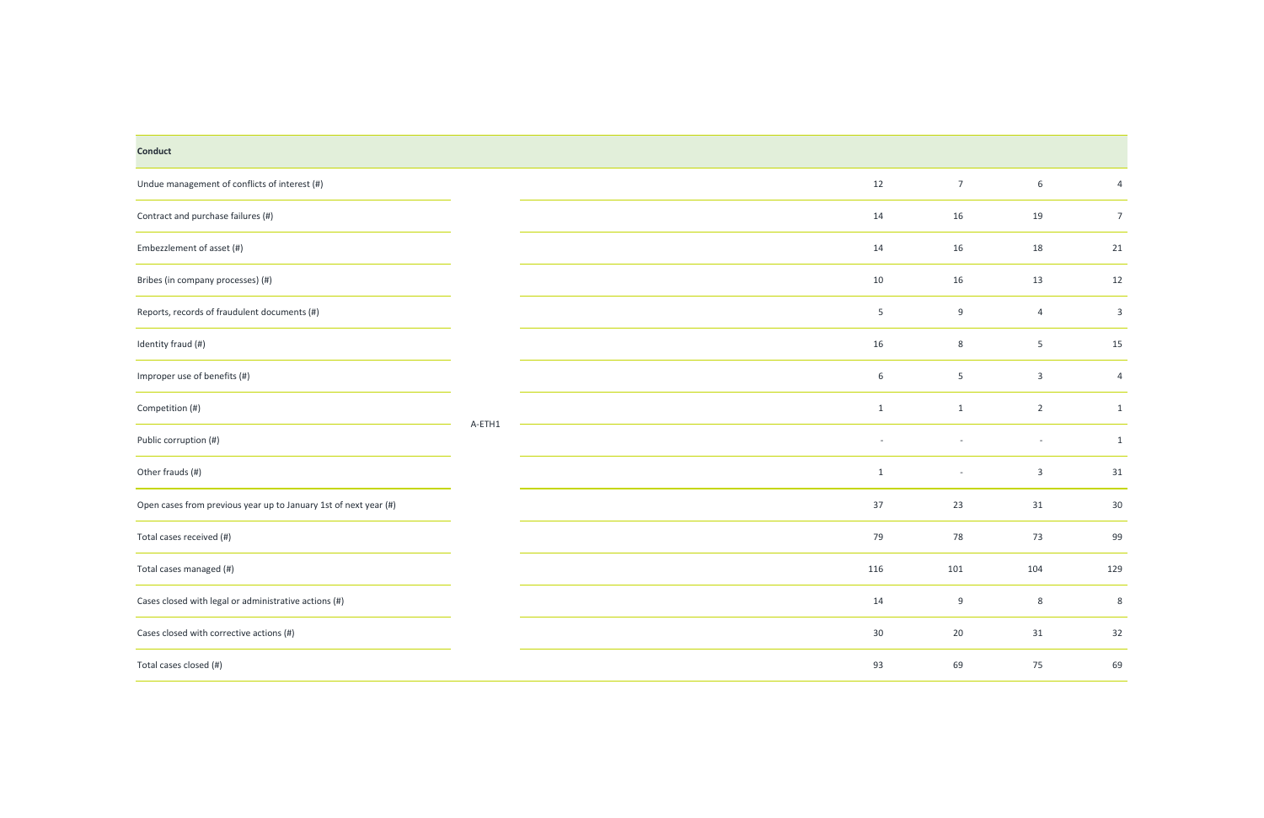# Undue management of conflicts of interest  $(\#)$  12 Contract and purchase failures  $(\#)$  14 Embezzlement of asset (#) 14 Bribes (in company processes) (#) 10 Reports, records of fraudulent documents  $(\#)$  5 Identity fraud (#) 16 8 5 15 Improper use of benefits  $(\#)$  6 Competition (#) 1 1 2 1 Public corruption (#) - - - 1 Other frauds (#) 1 - 3 31 Open cases from previous year up to January 1st of next year (#) 37 Total cases received (#) 79 78 73 99 Total cases managed (#) 116 101 104 129 Cases closed with legal or administrative actions  $(\#)$  14  $\zeta$  Cases closed with corrective actions (#) 30 Total cases closed (#) 93 69 75 69 **Conduct** A-ETH1

| $\overline{7}$           | $\,$ 6 $\,$              | $\overline{\mathcal{L}}$ |
|--------------------------|--------------------------|--------------------------|
| 16                       | 19                       | $\overline{7}$           |
| 16                       | 18                       | 21                       |
| 16                       | 13                       | 12                       |
| 9                        | $\overline{\mathcal{L}}$ | 3                        |
| 8                        | 5                        | 15                       |
| 5                        | 3                        | $\overline{\mathcal{L}}$ |
| $\mathbf{1}$             | $\overline{2}$           | $\mathbf 1$              |
|                          | -                        | $\mathbf 1$              |
| $\overline{\phantom{0}}$ | 3                        | 31                       |
| 23                       | 31                       | 30                       |
| 78                       | 73                       | 99                       |
| 101                      | 104                      | 129                      |
| 9                        | 8                        | 8                        |
| 20                       | 31                       | 32                       |
| 69                       | 75                       | 69                       |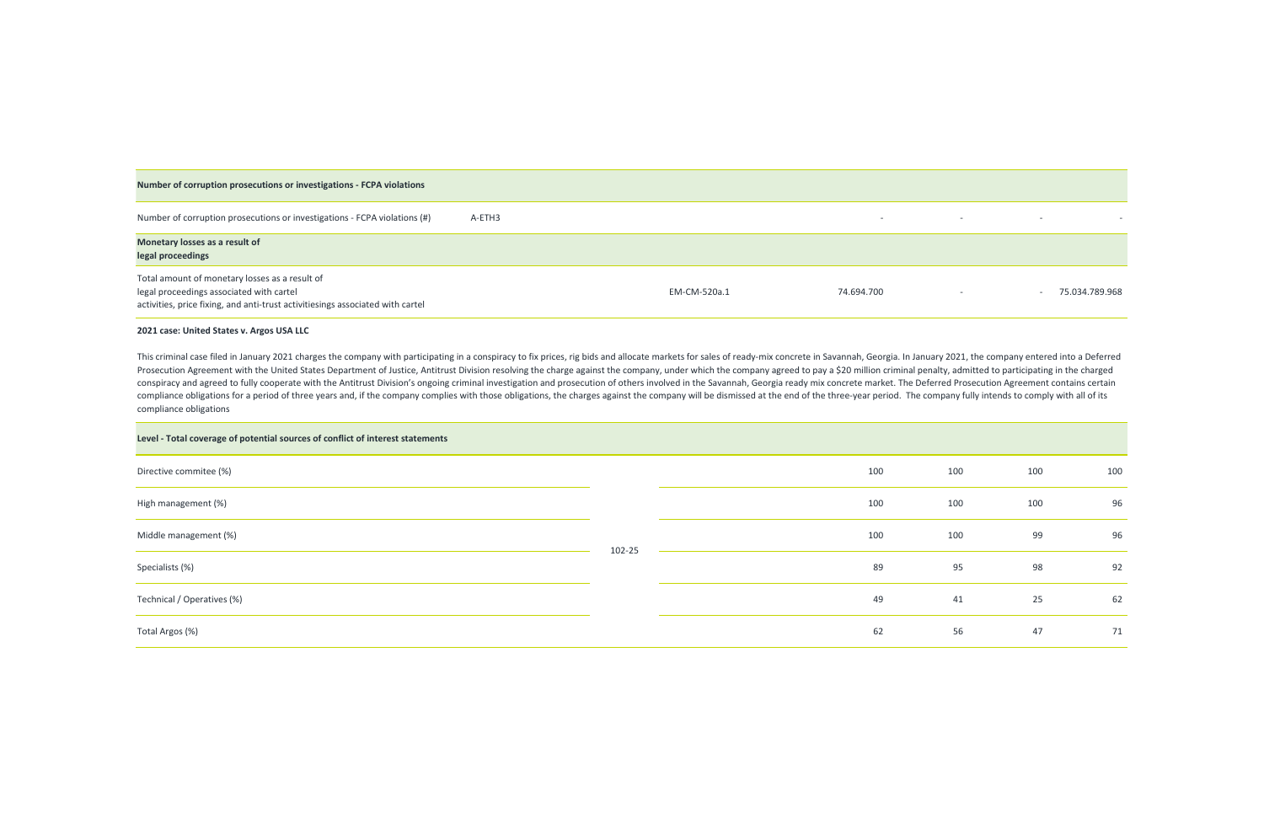

| 100 | 100 | 100 |
|-----|-----|-----|
| 100 | 100 | 96  |
| 100 | 99  | 96  |
| 95  | 98  | 92  |
| 41  | 25  | 62  |
| 56  | 47  | 71  |

| Number of corruption prosecutions or investigations - FCPA violations                                                                                                        |        |              |                          |                          |                |
|------------------------------------------------------------------------------------------------------------------------------------------------------------------------------|--------|--------------|--------------------------|--------------------------|----------------|
| Number of corruption prosecutions or investigations - FCPA violations (#)                                                                                                    | A-ETH3 |              | $\overline{\phantom{0}}$ | $\overline{\phantom{0}}$ |                |
| Monetary losses as a result of<br>legal proceedings                                                                                                                          |        |              |                          |                          |                |
| Total amount of monetary losses as a result of<br>legal proceedings associated with cartel<br>activities, price fixing, and anti-trust activitiesings associated with cartel |        | EM-CM-520a.1 | 74.694.700               |                          | 75.034.789.968 |

#### **2021 case: United States v. Argos USA LLC**

 $\overline{\phantom{0}}$ 

This criminal case filed in January 2021 charges the company with participating in a conspiracy to fix prices, rig bids and allocate markets for sales of ready-mix concrete in Savannah, Georgia. In January 2021, the compan Prosecution Agreement with the United States Department of Justice, Antitrust Division resolving the charge against the company, under which the company agreed to pay a \$20 million criminal penalty, admitted to participati conspiracy and agreed to fully cooperate with the Antitrust Division's ongoing criminal investigation and prosecution of others involved in the Savannah, Georgia ready mix concrete market. The Deferred Prosecution Agreemen compliance obligations for a period of three years and, if the company complies with those obligations, the charges against the company will be dismissed at the end of the three-year period. The company fully intends to co compliance obligations

| Level - Total coverage of potential sources of conflict of interest statements |        |     |     |     |     |    |  |
|--------------------------------------------------------------------------------|--------|-----|-----|-----|-----|----|--|
| Directive commitee (%)                                                         |        | 100 | 100 | 100 | 100 |    |  |
| High management (%)                                                            | 102-25 | 100 | 100 | 100 | 96  |    |  |
| Middle management (%)                                                          |        | 100 | 100 | 99  | 96  |    |  |
| Specialists (%)                                                                |        | 89  | 95  | 98  | 92  |    |  |
| Technical / Operatives (%)                                                     |        | 49  | 41  | 25  | 62  |    |  |
| Total Argos (%)                                                                |        |     | 62  | 56  | 47  | 71 |  |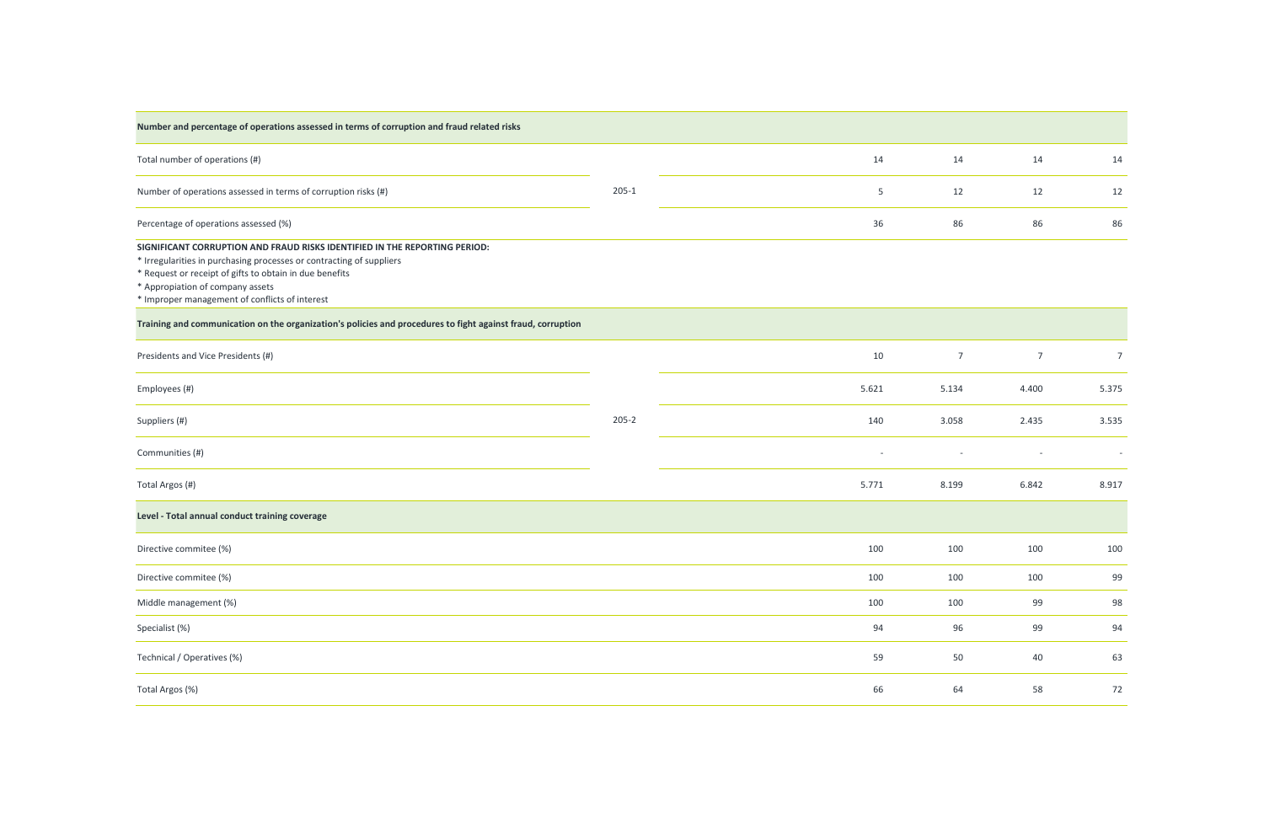| Number and percentage of operations assessed in terms of corruption and fraud related risks                                                                                                                                                                                                         |           |                          |                |                          |                          |
|-----------------------------------------------------------------------------------------------------------------------------------------------------------------------------------------------------------------------------------------------------------------------------------------------------|-----------|--------------------------|----------------|--------------------------|--------------------------|
| Total number of operations (#)                                                                                                                                                                                                                                                                      |           | 14                       | 14             | 14                       | 14                       |
| Number of operations assessed in terms of corruption risks (#)                                                                                                                                                                                                                                      | $205-1$   | 5                        | 12             | 12                       | 12                       |
| Percentage of operations assessed (%)                                                                                                                                                                                                                                                               |           | 36                       | 86             | 86                       | 86                       |
| SIGNIFICANT CORRUPTION AND FRAUD RISKS IDENTIFIED IN THE REPORTING PERIOD:<br>* Irregularities in purchasing processes or contracting of suppliers<br>* Request or receipt of gifts to obtain in due benefits<br>* Appropiation of company assets<br>* Improper management of conflicts of interest |           |                          |                |                          |                          |
| Training and communication on the organization's policies and procedures to fight against fraud, corruption                                                                                                                                                                                         |           |                          |                |                          |                          |
| Presidents and Vice Presidents (#)                                                                                                                                                                                                                                                                  |           | 10                       | $\overline{7}$ | $\overline{7}$           | $\overline{7}$           |
| Employees (#)                                                                                                                                                                                                                                                                                       |           | 5.621                    | 5.134          | 4.400                    | 5.375                    |
| Suppliers (#)                                                                                                                                                                                                                                                                                       | $205 - 2$ | 140                      | 3.058          | 2.435                    | 3.535                    |
| Communities (#)                                                                                                                                                                                                                                                                                     |           | $\overline{\phantom{a}}$ |                | $\overline{\phantom{a}}$ | $\overline{\phantom{a}}$ |
| Total Argos (#)                                                                                                                                                                                                                                                                                     |           | 5.771                    | 8.199          | 6.842                    | 8.917                    |
| Level - Total annual conduct training coverage                                                                                                                                                                                                                                                      |           |                          |                |                          |                          |
| Directive commitee (%)                                                                                                                                                                                                                                                                              |           | 100                      | 100            | 100                      | 100                      |
| Directive commitee (%)                                                                                                                                                                                                                                                                              |           | 100                      | 100            | 100                      | 99                       |
| Middle management (%)                                                                                                                                                                                                                                                                               |           | 100                      | 100            | 99                       | 98                       |
| Specialist (%)                                                                                                                                                                                                                                                                                      |           | 94                       | 96             | 99                       | 94                       |
| Technical / Operatives (%)                                                                                                                                                                                                                                                                          |           | 59                       | 50             | $40\,$                   | 63                       |
| Total Argos (%)                                                                                                                                                                                                                                                                                     |           | 66                       | 64             | 58                       | 72                       |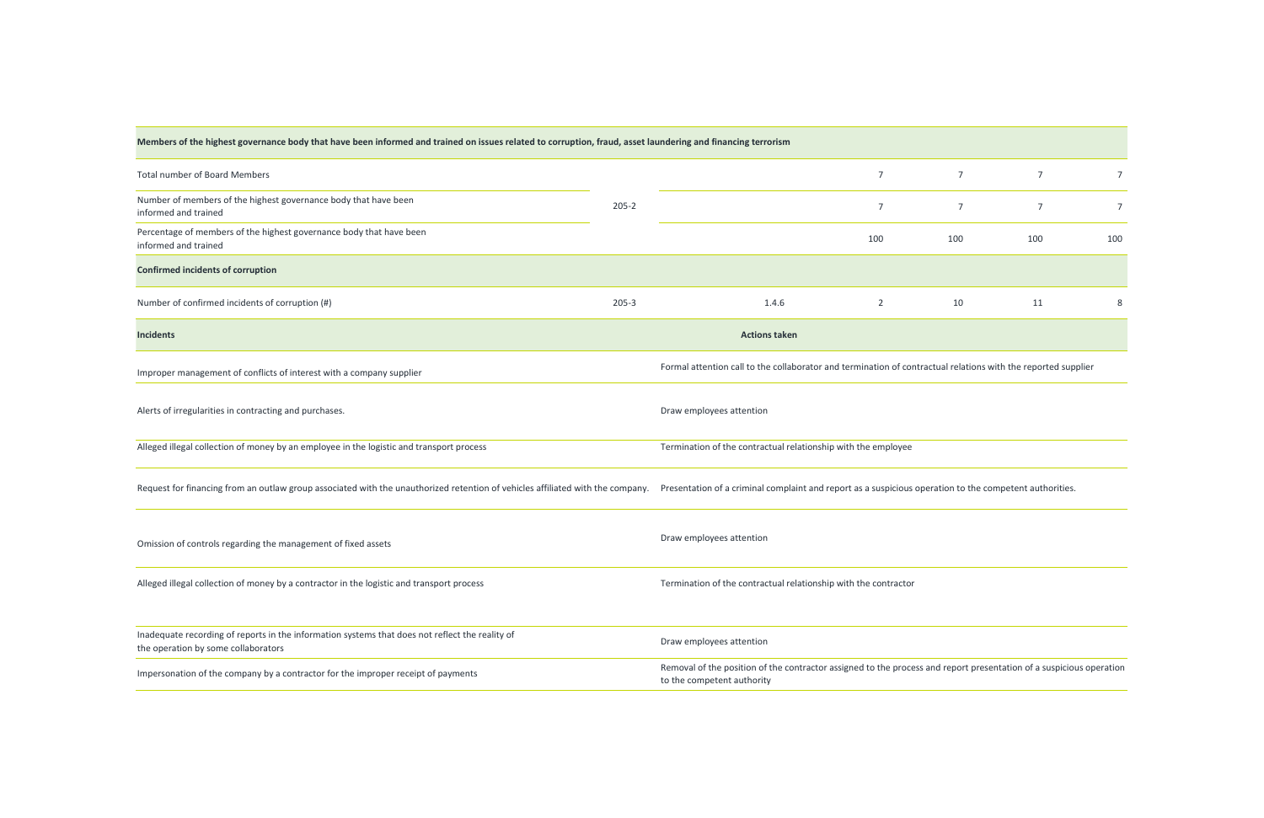| Members of the highest governance body that have been informed and trained on issues related to corruption, fraud, asset laundering and financing terrorism |           |                                                                                                                                                   |                                                                 |                |                |     |  |  |
|-------------------------------------------------------------------------------------------------------------------------------------------------------------|-----------|---------------------------------------------------------------------------------------------------------------------------------------------------|-----------------------------------------------------------------|----------------|----------------|-----|--|--|
| Total number of Board Members                                                                                                                               |           |                                                                                                                                                   | $\overline{7}$                                                  | $\overline{7}$ | $\overline{7}$ |     |  |  |
| Number of members of the highest governance body that have been<br>informed and trained                                                                     | $205 - 2$ |                                                                                                                                                   | $\overline{7}$                                                  | $\overline{7}$ | 7              | 7   |  |  |
| Percentage of members of the highest governance body that have been<br>informed and trained                                                                 |           |                                                                                                                                                   | 100                                                             | 100            | 100            | 100 |  |  |
| <b>Confirmed incidents of corruption</b>                                                                                                                    |           |                                                                                                                                                   |                                                                 |                |                |     |  |  |
| Number of confirmed incidents of corruption (#)                                                                                                             | $205 - 3$ | 1.4.6                                                                                                                                             | $2^{\circ}$                                                     | 10             | 11             | 8   |  |  |
| <b>Incidents</b>                                                                                                                                            |           | <b>Actions taken</b>                                                                                                                              |                                                                 |                |                |     |  |  |
| Improper management of conflicts of interest with a company supplier                                                                                        |           | Formal attention call to the collaborator and termination of contractual relations with the reported supplier                                     |                                                                 |                |                |     |  |  |
| Alerts of irregularities in contracting and purchases.                                                                                                      |           | Draw employees attention                                                                                                                          |                                                                 |                |                |     |  |  |
| Alleged illegal collection of money by an employee in the logistic and transport process                                                                    |           | Termination of the contractual relationship with the employee                                                                                     |                                                                 |                |                |     |  |  |
| Request for financing from an outlaw group associated with the unauthorized retention of vehicles affiliated with the company.                              |           | Presentation of a criminal complaint and report as a suspicious operation to the competent authorities.                                           |                                                                 |                |                |     |  |  |
| Omission of controls regarding the management of fixed assets                                                                                               |           | Draw employees attention                                                                                                                          |                                                                 |                |                |     |  |  |
| Alleged illegal collection of money by a contractor in the logistic and transport process                                                                   |           |                                                                                                                                                   | Termination of the contractual relationship with the contractor |                |                |     |  |  |
| Inadequate recording of reports in the information systems that does not reflect the reality of<br>the operation by some collaborators                      |           | Draw employees attention                                                                                                                          |                                                                 |                |                |     |  |  |
| Impersonation of the company by a contractor for the improper receipt of payments                                                                           |           | Removal of the position of the contractor assigned to the process and report presentation of a suspicious operation<br>to the competent authority |                                                                 |                |                |     |  |  |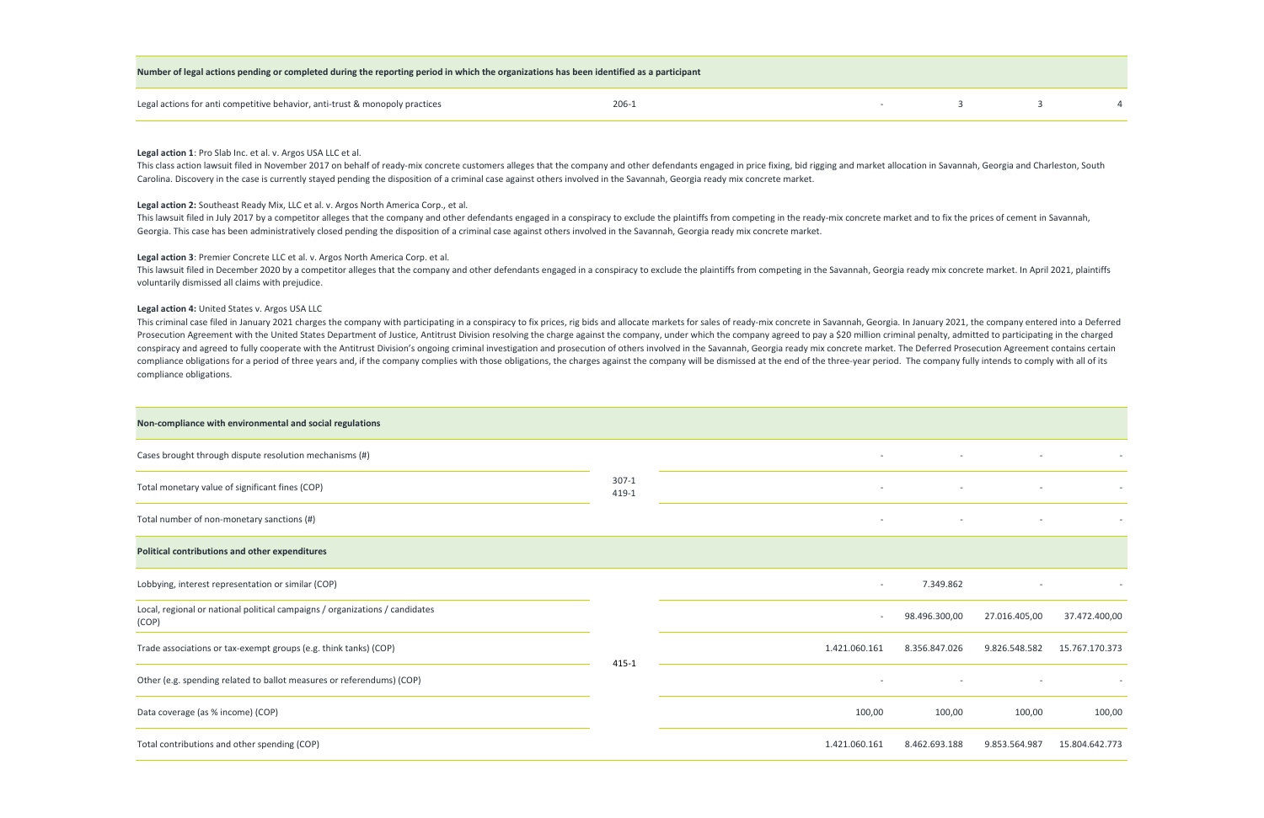| Legal actions for anti competitive behavior, anti-trust & monopoly practices |  |  |  |
|------------------------------------------------------------------------------|--|--|--|
|                                                                              |  |  |  |

This class action lawsuit filed in November 2017 on behalf of ready-mix concrete customers alleges that the company and other defendants engaged in price fixing, bid rigging and market allocation in Savannah, Georgia and C Carolina. Discovery in the case is currently stayed pending the disposition of a criminal case against others involved in the Savannah, Georgia ready mix concrete market.

#### **Number of legal actions pending or completed during the reporting period in which the organizations has been identified as a participant**

This lawsuit filed in July 2017 by a competitor alleges that the company and other defendants engaged in a conspiracy to exclude the plaintiffs from competing in the ready-mix concrete market and to fix the prices of cemen Georgia. This case has been administratively closed pending the disposition of a criminal case against others involved in the Savannah, Georgia ready mix concrete market.

#### **Legal action 1**: Pro Slab Inc. et al. v. Argos USA LLC et al.

This lawsuit filed in December 2020 by a competitor alleges that the company and other defendants engaged in a conspiracy to exclude the plaintiffs from competing in the Savannah, Georgia ready mix concrete market. In Apri voluntarily dismissed all claims with prejudice.

#### **Legal action 2:** Southeast Ready Mix, LLC et al. v. Argos North America Corp., et al.

This criminal case filed in January 2021 charges the company with participating in a conspiracy to fix prices, rig bids and allocate markets for sales of ready-mix concrete in Savannah, Georgia. In January 2021, the compan Prosecution Agreement with the United States Department of Justice, Antitrust Division resolving the charge against the company, under which the company agreed to pay a \$20 million criminal penalty, admitted to participati conspiracy and agreed to fully cooperate with the Antitrust Division's ongoing criminal investigation and prosecution of others involved in the Savannah, Georgia ready mix concrete market. The Deferred Prosecution Agreemen compliance obligations for a period of three years and, if the company complies with those obligations, the charges against the company will be dismissed at the end of the three-year period. The company fully intends to co compliance obligations.

| Non-compliance with environmental and social regulations                              |                  |                          |               |               |                          |
|---------------------------------------------------------------------------------------|------------------|--------------------------|---------------|---------------|--------------------------|
| Cases brought through dispute resolution mechanisms (#)                               |                  | $\overline{\phantom{a}}$ |               |               | $\overline{\phantom{a}}$ |
|                                                                                       |                  |                          |               |               |                          |
| Total monetary value of significant fines (COP)                                       | $307-1$<br>419-1 | $\overline{\phantom{a}}$ |               |               |                          |
| Total number of non-monetary sanctions (#)                                            |                  | $\overline{\phantom{a}}$ |               |               | $\overline{\phantom{a}}$ |
| <b>Political contributions and other expenditures</b>                                 |                  |                          |               |               |                          |
| Lobbying, interest representation or similar (COP)                                    |                  | $\overline{\phantom{a}}$ | 7.349.862     |               |                          |
| Local, regional or national political campaigns / organizations / candidates<br>(COP) |                  | $\overline{\phantom{a}}$ | 98.496.300,00 | 27.016.405,00 | 37.472.400,00            |
| Trade associations or tax-exempt groups (e.g. think tanks) (COP)                      |                  | 1.421.060.161            | 8.356.847.026 | 9.826.548.582 | 15.767.170.373           |
| Other (e.g. spending related to ballot measures or referendums) (COP)                 | $415 - 1$        | $\overline{\phantom{a}}$ |               |               | $\overline{\phantom{0}}$ |
| Data coverage (as % income) (COP)                                                     |                  | 100,00                   | 100,00        | 100,00        | 100,00                   |
| Total contributions and other spending (COP)                                          |                  | 1.421.060.161            | 8.462.693.188 | 9.853.564.987 | 15.804.642.773           |

| ٠ | ٠ |  |
|---|---|--|

#### **Legal action 3**: Premier Concrete LLC et al. v. Argos North America Corp. et al.

#### **Legal action 4:** United States v. Argos USA LLC